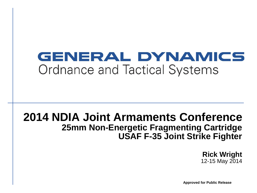## GENERAL DYNAMICS Ordnance and Tactical Systems

### **2014 NDIA Joint Armaments Conference 25mm Non-Energetic Fragmenting Cartridge USAF F-35 Joint Strike Fighter**

**Rick Wright** 12-15 May 2014

**Approved for Public Release**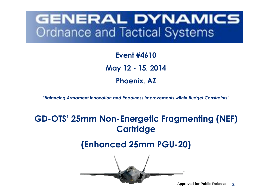## GENERAL DYNAMICS **Ordnance and Tactical Systems**

**Event #4610 May 12 - 15, 2014 Phoenix, AZ**

*"Balancing Armament Innovation and Readiness Improvements within Budget Constraints"*

### **GD-OTS' 25mm Non-Energetic Fragmenting (NEF) Cartridge**

### **(Enhanced 25mm PGU-20)**

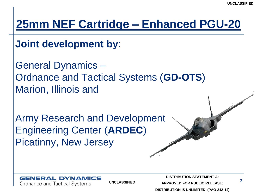**Joint development by**:

General Dynamics – Ordnance and Tactical Systems (**GD-OTS**) Marion, Illinois and

Army Research and Development Engineering Center (**ARDEC**) Picatinny, New Jersey



**UNCLASSIFIED** 

**DISTRIBUTION STATEMENT A:**

**APPROVED FOR PUBLIC RELEASE;**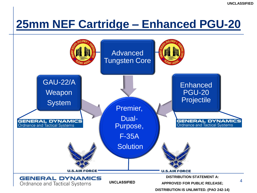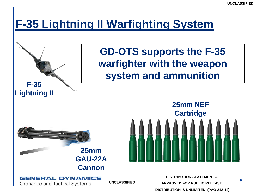## **F-35 Lightning II Warfighting System**

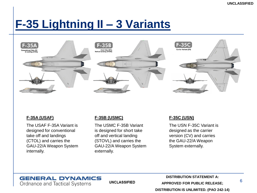## **F-35 Lightning II – 3 Variants**



#### **F-35A (USAF)**

The USAF F-35A Variant is designed for conventional take off and landings (CTOL) and carries the GAU-22/A Weapon System internally.

#### **F-35B (USMC)**

The USMC F-35B Variant is designed for short take off and vertical landing (STOVL) and carries the GAU-22/A Weapon System externally.

#### **F-35C (USN)**

The USN F-35C Variant is designed as the carrier version (CV) and carries the GAU-22/A Weapon System externally.

#### **GENERAL DYNAMICS** Ordnance and Tactical Systems

**UNCLASSIFIED** 

**DISTRIBUTION STATEMENT A: APPROVED FOR PUBLIC RELEASE;**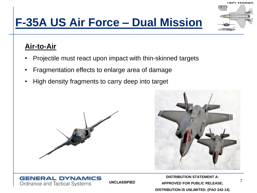## **F-35A US Air Force – Dual Mission**

### **Air-to-Air**

• Projectile must react upon impact with thin-skinned targets

**UNCLASSIFIED** 

- Fragmentation effects to enlarge area of damage
- High density fragments to carry deep into target



**GENERAL DYNAMICS** 

Ordnance and Tactical Systems



**DISTRIBUTION STATEMENT A: APPROVED FOR PUBLIC RELEASE; DISTRIBUTION IS UNLIMITED. (PAO 242-14)**

**UNCLASSIFIED**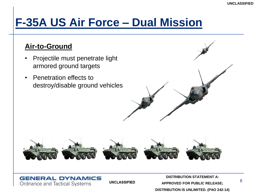## **F-35A US Air Force – Dual Mission**

### **Air-to-Ground**

- Projectile must penetrate light armored ground targets
- Penetration effects to destroy/disable ground vehicles



#### **GENERAL DYNAMICS** Ordnance and Tactical Systems

**UNCLASSIFIED** 

**DISTRIBUTION STATEMENT A: APPROVED FOR PUBLIC RELEASE; DISTRIBUTION IS UNLIMITED. (PAO 242-14)**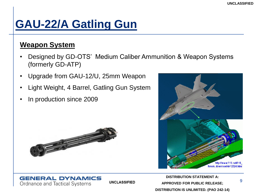## **GAU-22/A Gatling Gun**

### **Weapon System**

• Designed by GD-OTS' Medium Caliber Ammunition & Weapon Systems (formerly GD-ATP)

**UNCLASSIFIED** 

- Upgrade from GAU-12/U, 25mm Weapon
- Light Weight, 4 Barrel, Gatling Gun System
- In production since 2009

**GENERAL DYNAMICS** 

Ordnance and Tactical Systems





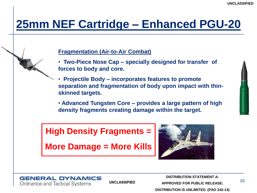#### **Fragmentation (Air-to-Air Combat)**

- • **Two-Piece Nose Cap – specially designed for transfer of forces to body and core.**
- • **Projectile Body – incorporates features to promote separation and fragmentation of body upon impact with thinskinned targets.**
- **Advanced Tungsten Core – provides a large pattern of high density fragments creating damage within the target.**

### **High Density Fragments =**

**More Damage = More Kills**





**UNCLASSIFIED** 

**DISTRIBUTION STATEMENT A: APPROVED FOR PUBLIC RELEASE;**

10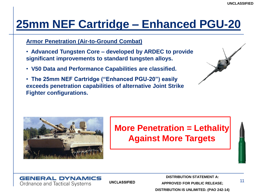#### **Armor Penetration (Air-to-Ground Combat)**

- • **Advanced Tungsten Core – developed by ARDEC to provide significant improvements to standard tungsten alloys.**
- • **V50 Data and Performance Capabilities are classified.**
- • **The 25mm NEF Cartridge ("Enhanced PGU-20") easily exceeds penetration capabilities of alternative Joint Strike Fighter configurations.**





### **More Penetration = Lethality Against More Targets**



**UNCLASSIFIED** 

**DISTRIBUTION STATEMENT A:**

**APPROVED FOR PUBLIC RELEASE;**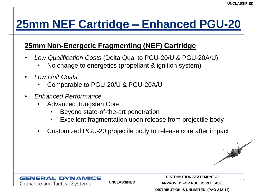### **25mm Non-Energetic Fragmenting (NEF) Cartridge**

- *Low Qualification Costs* (Delta Qual to PGU-20/U & PGU-20A/U)
	- No change to energetics (propellant & ignition system)
- *Low Unit Costs*
	- Comparable to PGU-20/U & PGU-20A/U
- *Enhanced Performance*
	- Advanced Tungsten Core
		- Beyond state-of-the-art penetration
		- Excellent fragmentation upon release from projectile body
	- Customized PGU-20 projectile body to release core after impact





**UNCLASSIFIED** 

**DISTRIBUTION STATEMENT A: APPROVED FOR PUBLIC RELEASE;**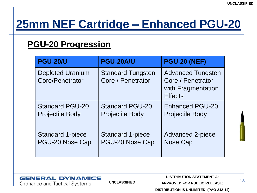### **PGU-20 Progression**

| <b>PGU-20/U</b>                            | <b>PGU-20A/U</b>                              | <b>PGU-20 (NEF)</b>                                                                   |
|--------------------------------------------|-----------------------------------------------|---------------------------------------------------------------------------------------|
| <b>Depleted Uranium</b><br>Core/Penetrator | <b>Standard Tungsten</b><br>Core / Penetrator | <b>Advanced Tungsten</b><br>Core / Penetrator<br>with Fragmentation<br><b>Effects</b> |
| <b>Standard PGU-20</b>                     | <b>Standard PGU-20</b>                        | <b>Enhanced PGU-20</b>                                                                |
| <b>Projectile Body</b>                     | <b>Projectile Body</b>                        | <b>Projectile Body</b>                                                                |
| <b>Standard 1-piece</b>                    | <b>Standard 1-piece</b>                       | <b>Advanced 2-piece</b>                                                               |
| PGU-20 Nose Cap                            | PGU-20 Nose Cap                               | Nose Cap                                                                              |



**UNCLASSIFIED** 

**DISTRIBUTION STATEMENT A:**

**APPROVED FOR PUBLIC RELEASE;**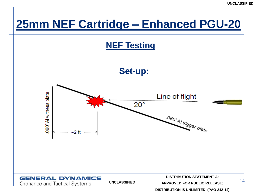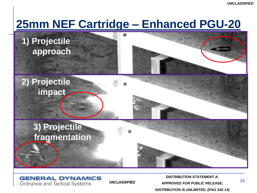**1) Projectile approach**



**2) Projectile impact**

### **3) Projectile fragmentation**

**GENERAL DYNAMICS** Ordnance and Tactical Systems

**UNCLASSIFIED** 

**DISTRIBUTION STATEMENT A: APPROVED FOR PUBLIC RELEASE; DISTRIBUTION IS UNLIMITED. (PAO 242-14)**

15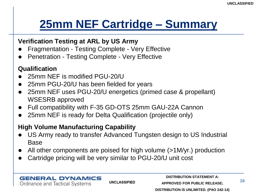## **25mm NEF Cartridge – Summary**

### **Verification Testing at ARL by US Army**

- Fragmentation Testing Complete Very Effective
- Penetration Testing Complete Very Effective

### **Qualification**

- 25mm NEF is modified PGU-20/U
- 25mm PGU-20/U has been fielded for years
- 25mm NEF uses PGU-20/U energetics (primed case & propellant) WSESRB approved
- Full compatibility with F-35 GD-OTS 25mm GAU-22A Cannon
- 25mm NEF is ready for Delta Qualification (projectile only)

### **High Volume Manufacturing Capability**

- US Army ready to transfer Advanced Tungsten design to US Industrial Base
- All other components are poised for high volume (>1M/yr.) production
- Cartridge pricing will be very similar to PGU-20/U unit cost

#### **GENERAL DYNAMICS** Ordnance and Tactical Systems

**UNCLASSIFIED**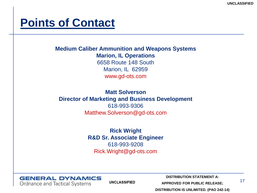### **Points of Contact**

**Medium Caliber Ammunition and Weapons Systems Marion, IL Operations** 6658 Route 148 South Marion, IL 62959 www.gd-ots.com

**Matt Solverson Director of Marketing and Business Development** 618-993-9306 Matthew.Solverson@gd-ots.com

> **Rick Wright R&D Sr. Associate Engineer** 618-993-9208 Rick.Wright@gd-ots.com



**UNCLASSIFIED** 

**DISTRIBUTION STATEMENT A:**

**APPROVED FOR PUBLIC RELEASE;**

17